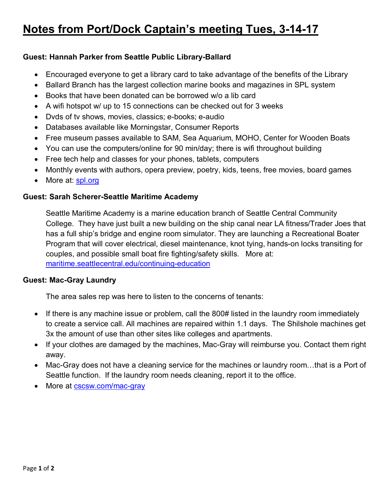# **Notes from Port/Dock Captain's meeting Tues, 3-14-17**

# **Guest: Hannah Parker from Seattle Public Library-Ballard**

- Encouraged everyone to get a library card to take advantage of the benefits of the Library
- Ballard Branch has the largest collection marine books and magazines in SPL system
- Books that have been donated can be borrowed w/o a lib card
- A wifi hotspot w/ up to 15 connections can be checked out for 3 weeks
- Dvds of tv shows, movies, classics; e-books; e-audio
- Databases available like Morningstar, Consumer Reports
- Free museum passes available to SAM, Sea Aquarium, MOHO, Center for Wooden Boats
- You can use the computers/online for 90 min/day; there is wifi throughout building
- Free tech help and classes for your phones, tablets, computers
- Monthly events with authors, opera preview, poetry, kids, teens, free movies, board games
- More at: spl.org

## **Guest: Sarah Scherer-Seattle Maritime Academy**

Seattle Maritime Academy is a marine education branch of Seattle Central Community College. They have just built a new building on the ship canal near LA fitness/Trader Joes that has a full ship's bridge and engine room simulator. They are launching a Recreational Boater Program that will cover electrical, diesel maintenance, knot tying, hands-on locks transiting for couples, and possible small boat fire fighting/safety skills. More at: maritime.seattlecentral.edu/continuing-education

### **Guest: Mac-Gray Laundry**

The area sales rep was here to listen to the concerns of tenants:

- If there is any machine issue or problem, call the 800# listed in the laundry room immediately to create a service call. All machines are repaired within 1.1 days. The Shilshole machines get 3x the amount of use than other sites like colleges and apartments.
- If your clothes are damaged by the machines, Mac-Gray will reimburse you. Contact them right away.
- Mac-Gray does not have a cleaning service for the machines or laundry room...that is a Port of Seattle function. If the laundry room needs cleaning, report it to the office.
- More at cscsw.com/mac-gray